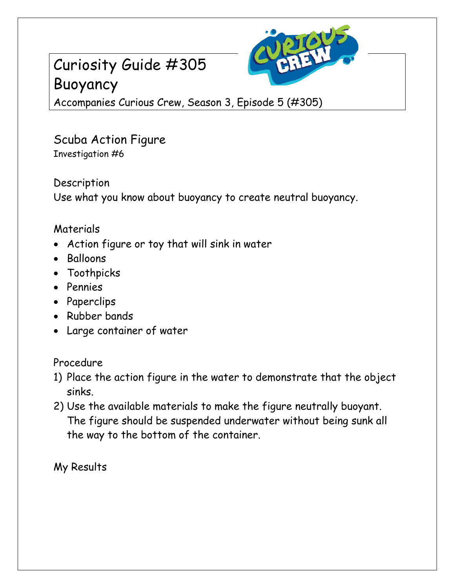# Curiosity Guide #305 Buoyancy



Accompanies Curious Crew, Season 3, Episode 5 (#305)

### Scuba Action Figure Investigation #6

Description Use what you know about buoyancy to create neutral buoyancy.

### Materials

- Action figure or toy that will sink in water
- Balloons
- Toothpicks
- Pennies
- Paperclips
- Rubber bands
- Large container of water

### Procedure

- 1) Place the action figure in the water to demonstrate that the object sinks.
- 2) Use the available materials to make the figure neutrally buoyant. The figure should be suspended underwater without being sunk all the way to the bottom of the container.

My Results